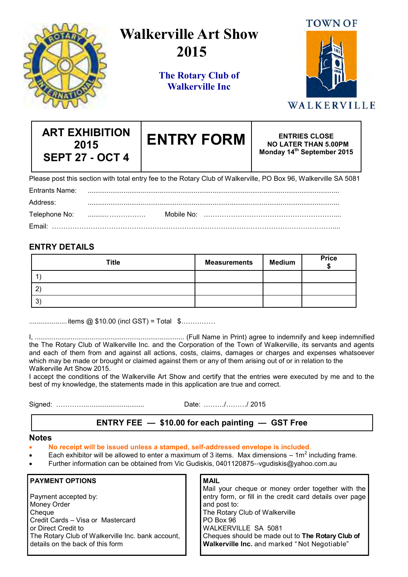

# **Walkerville Art Show 2015**

**The Rotary Club of Walkerville Inc**



# WALKERVILLE

| <b>ART EXHIBITION</b><br>2015<br><b>SEPT 27 - OCT 4</b> |  | <b>ENTRY FORM</b>                                                                                               | <b>ENTRIES CLOSE</b><br><b>NO LATER THAN 5.00PM</b><br>Monday 14th September 2015 |
|---------------------------------------------------------|--|-----------------------------------------------------------------------------------------------------------------|-----------------------------------------------------------------------------------|
|                                                         |  | Please post this section with total entry fee to the Rotary Club of Walkerville, PO Box 96, Walkerville SA 5081 |                                                                                   |
| Entrants Name:                                          |  |                                                                                                                 |                                                                                   |
| Address:                                                |  |                                                                                                                 |                                                                                   |
| Telephone No:                                           |  |                                                                                                                 |                                                                                   |
|                                                         |  |                                                                                                                 |                                                                                   |

## **ENTRY DETAILS**

| <b>Title</b> | <b>Measurements</b> | <b>Medium</b> | <b>Price</b> |
|--------------|---------------------|---------------|--------------|
|              |                     |               |              |
| n            |                     |               |              |
| ົ?`<br>J     |                     |               |              |

.................... items @ \$10.00 (incl GST) = Total \$……………

I, ............................................................................... (Full Name in Print) agree to indemnify and keep indemnified the The Rotary Club of Walkerville Inc. and the Corporation of the Town of Walkerville, its servants and agents and each of them from and against all actions, costs, claims, damages or charges and expenses whatsoever which may be made or brought or claimed against them or any of them arising out of or in relation to the Walkerville Art Show 2015.

I accept the conditions of the Walkerville Art Show and certify that the entries were executed by me and to the best of my knowledge, the statements made in this application are true and correct.

Signed: …………................................ Date: ………/………/ 2015

## **ENTRY FEE — \$10.00 for each painting — GST Free**

#### **Notes**

- **No receipt will be issued unless a stamped, self-addressed envelope is included**.
- Each exhibitor will be allowed to enter a maximum of 3 items. Max dimensions 1m<sup>2</sup> including frame.
- Further information can be obtained from Vic Gudiskis, 0401120875--vgudiskis@yahoo.com.au

#### **PAYMENT OPTIONS**

Payment accepted by: Money Order **Cheque** Credit Cards – Visa or Mastercard or Direct Credit to The Rotary Club of Walkerville Inc. bank account, details on the back of this form

**MAIL** Mail your cheque or money order together with the entry form, or fill in the credit card details over page and post to: The Rotary Club of Walkerville PO Box 96 WALKERVILLE SA 5081 Cheques should be made out to **The Rotary Club of Walkerville Inc.** and marked " Not Negotiable"